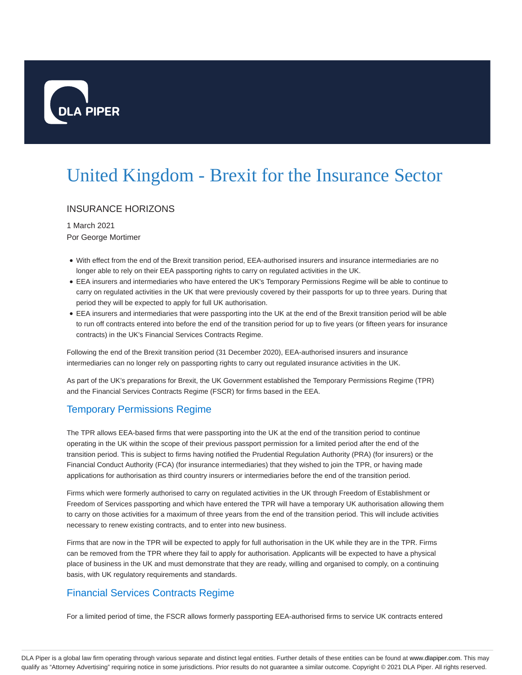

# United Kingdom - Brexit for the Insurance Sector

## INSURANCE HORIZONS

1 March 2021 Por George Mortimer

- With effect from the end of the Brexit transition period, EEA-authorised insurers and insurance intermediaries are no longer able to rely on their EEA passporting rights to carry on regulated activities in the UK.
- EEA insurers and intermediaries who have entered the UK's Temporary Permissions Regime will be able to continue to carry on regulated activities in the UK that were previously covered by their passports for up to three years. During that period they will be expected to apply for full UK authorisation.
- EEA insurers and intermediaries that were passporting into the UK at the end of the Brexit transition period will be able to run off contracts entered into before the end of the transition period for up to five years (or fifteen years for insurance contracts) in the UK's Financial Services Contracts Regime.

Following the end of the Brexit transition period (31 December 2020), EEA-authorised insurers and insurance intermediaries can no longer rely on passporting rights to carry out regulated insurance activities in the UK.

As part of the UK's preparations for Brexit, the UK Government established the Temporary Permissions Regime (TPR) and the Financial Services Contracts Regime (FSCR) for firms based in the EEA.

## Temporary Permissions Regime

The TPR allows EEA-based firms that were passporting into the UK at the end of the transition period to continue operating in the UK within the scope of their previous passport permission for a limited period after the end of the transition period. This is subject to firms having notified the Prudential Regulation Authority (PRA) (for insurers) or the Financial Conduct Authority (FCA) (for insurance intermediaries) that they wished to join the TPR, or having made applications for authorisation as third country insurers or intermediaries before the end of the transition period.

Firms which were formerly authorised to carry on regulated activities in the UK through Freedom of Establishment or Freedom of Services passporting and which have entered the TPR will have a temporary UK authorisation allowing them to carry on those activities for a maximum of three years from the end of the transition period. This will include activities necessary to renew existing contracts, and to enter into new business.

Firms that are now in the TPR will be expected to apply for full authorisation in the UK while they are in the TPR. Firms can be removed from the TPR where they fail to apply for authorisation. Applicants will be expected to have a physical place of business in the UK and must demonstrate that they are ready, willing and organised to comply, on a continuing basis, with UK regulatory requirements and standards.

## Financial Services Contracts Regime

For a limited period of time, the FSCR allows formerly passporting EEA-authorised firms to service UK contracts entered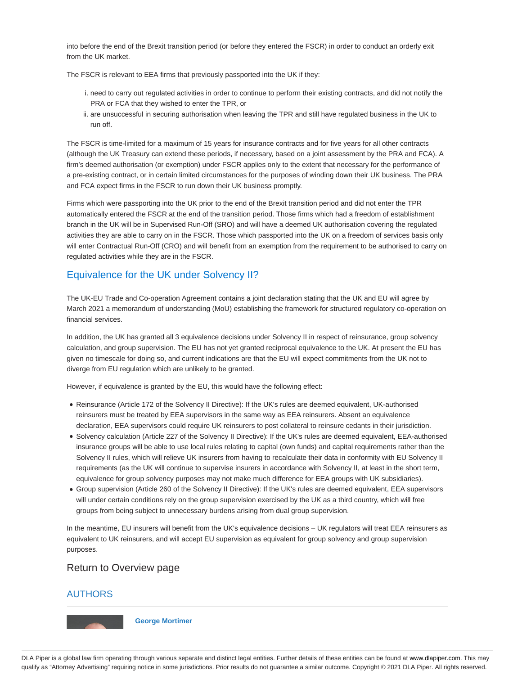into before the end of the Brexit transition period (or before they entered the FSCR) in order to conduct an orderly exit from the UK market.

The FSCR is relevant to EEA firms that previously passported into the UK if they:

- i. need to carry out regulated activities in order to continue to perform their existing contracts, and did not notify the PRA or FCA that they wished to enter the TPR, or
- ii. are unsuccessful in securing authorisation when leaving the TPR and still have regulated business in the UK to run off.

The FSCR is time-limited for a maximum of 15 years for insurance contracts and for five years for all other contracts (although the UK Treasury can extend these periods, if necessary, based on a joint assessment by the PRA and FCA). A firm's deemed authorisation (or exemption) under FSCR applies only to the extent that necessary for the performance of a pre-existing contract, or in certain limited circumstances for the purposes of winding down their UK business. The PRA and FCA expect firms in the FSCR to run down their UK business promptly.

Firms which were passporting into the UK prior to the end of the Brexit transition period and did not enter the TPR automatically entered the FSCR at the end of the transition period. Those firms which had a freedom of establishment branch in the UK will be in Supervised Run-Off (SRO) and will have a deemed UK authorisation covering the regulated activities they are able to carry on in the FSCR. Those which passported into the UK on a freedom of services basis only will enter Contractual Run-Off (CRO) and will benefit from an exemption from the requirement to be authorised to carry on regulated activities while they are in the FSCR.

## Equivalence for the UK under Solvency II?

The UK-EU Trade and Co-operation Agreement contains a joint declaration stating that the UK and EU will agree by March 2021 a memorandum of understanding (MoU) establishing the framework for structured regulatory co-operation on financial services.

In addition, the UK has granted all 3 equivalence decisions under Solvency II in respect of reinsurance, group solvency calculation, and group supervision. The EU has not yet granted reciprocal equivalence to the UK. At present the EU has given no timescale for doing so, and current indications are that the EU will expect commitments from the UK not to diverge from EU regulation which are unlikely to be granted.

However, if equivalence is granted by the EU, this would have the following effect:

- Reinsurance (Article 172 of the Solvency II Directive): If the UK's rules are deemed equivalent, UK-authorised reinsurers must be treated by EEA supervisors in the same way as EEA reinsurers. Absent an equivalence declaration, EEA supervisors could require UK reinsurers to post collateral to reinsure cedants in their jurisdiction.
- Solvency calculation (Article 227 of the Solvency II Directive): If the UK's rules are deemed equivalent, EEA-authorised insurance groups will be able to use local rules relating to capital (own funds) and capital requirements rather than the Solvency II rules, which will relieve UK insurers from having to recalculate their data in conformity with EU Solvency II requirements (as the UK will continue to supervise insurers in accordance with Solvency II, at least in the short term, equivalence for group solvency purposes may not make much difference for EEA groups with UK subsidiaries).
- Group supervision (Article 260 of the Solvency II Directive): If the UK's rules are deemed equivalent, EEA supervisors will under certain conditions rely on the group supervision exercised by the UK as a third country, which will free groups from being subject to unnecessary burdens arising from dual group supervision.

In the meantime, EU insurers will benefit from the UK's equivalence decisions – UK regulators will treat EEA reinsurers as equivalent to UK reinsurers, and will accept EU supervision as equivalent for group solvency and group supervision purposes.

#### Return to Overview page

#### AUTHORS



**George Mortimer**

DLA Piper is a global law firm operating through various separate and distinct legal entities. Further details of these entities can be found at www.dlapiper.com. This may qualify as "Attorney Advertising" requiring notice in some jurisdictions. Prior results do not guarantee a similar outcome. Copyright © 2021 DLA Piper. All rights reserved.